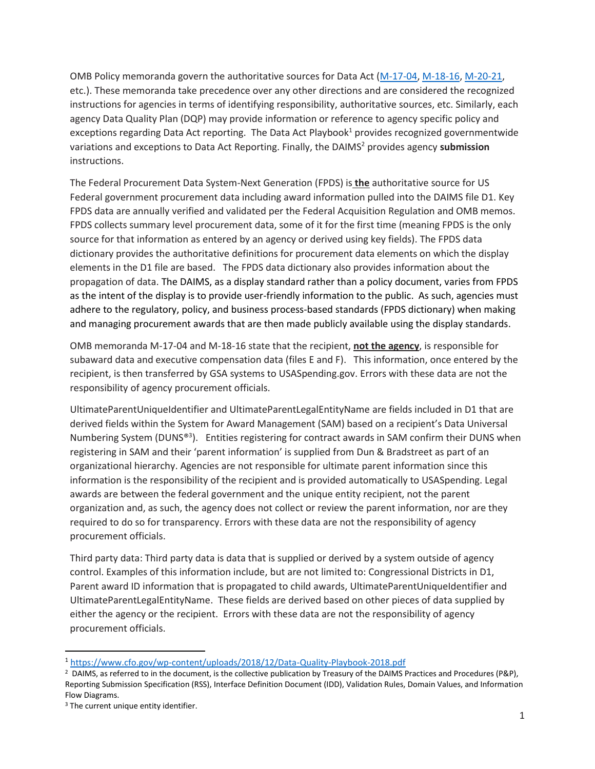OMB Policy memoranda govern the authoritative sources for Data Act [\(M-17-04,](https://www.whitehouse.gov/sites/whitehouse.gov/files/omb/memoranda/2017/m-17-04.pdf) [M-18-16,](https://www.whitehouse.gov/wp-content/uploads/2018/06/M-18-16.pdf) [M-20-21,](https://www.whitehouse.gov/wp-content/uploads/2020/04/Implementation-Guidance-for-Supplemental-Funding-Provided-in-Response.pdf) etc.). These memoranda take precedence over any other directions and are considered the recognized instructions for agencies in terms of identifying responsibility, authoritative sources, etc. Similarly, each agency Data Quality Plan (DQP) may provide information or reference to agency specific policy and exceptions regarding Data Act reporting. The Data Act Playbook<sup>1</sup> provides recognized governmentwide variations and exceptions to Data Act Reporting. Finally, the DAIMS<sup>2</sup> provides agency **submission** instructions.

The Federal Procurement Data System-Next Generation (FPDS) is **the** authoritative source for US Federal government procurement data including award information pulled into the DAIMS file D1. Key FPDS data are annually verified and validated per the Federal Acquisition Regulation and OMB memos. FPDS collects summary level procurement data, some of it for the first time (meaning FPDS is the only source for that information as entered by an agency or derived using key fields). The FPDS data dictionary provides the authoritative definitions for procurement data elements on which the display elements in the D1 file are based. The FPDS data dictionary also provides information about the propagation of data. The DAIMS, as a display standard rather than a policy document, varies from FPDS as the intent of the display is to provide user-friendly information to the public. As such, agencies must adhere to the regulatory, policy, and business process-based standards (FPDS dictionary) when making and managing procurement awards that are then made publicly available using the display standards.

OMB memoranda M-17-04 and M-18-16 state that the recipient, **not the agency**, is responsible for subaward data and executive compensation data (files E and F). This information, once entered by the recipient, is then transferred by GSA systems to USASpending.gov. Errors with these data are not the responsibility of agency procurement officials.

UltimateParentUniqueIdentifier and UltimateParentLegalEntityName are fields included in D1 that are derived fields within the System for Award Management (SAM) based on a recipient's Data Universal Numbering System (DUNS®<sup>3</sup>). Entities registering for contract awards in SAM confirm their DUNS when registering in SAM and their 'parent information' is supplied from Dun & Bradstreet as part of an organizational hierarchy. Agencies are not responsible for ultimate parent information since this information is the responsibility of the recipient and is provided automatically to USASpending. Legal awards are between the federal government and the unique entity recipient, not the parent organization and, as such, the agency does not collect or review the parent information, nor are they required to do so for transparency. Errors with these data are not the responsibility of agency procurement officials.

Third party data: Third party data is data that is supplied or derived by a system outside of agency control. Examples of this information include, but are not limited to: Congressional Districts in D1, Parent award ID information that is propagated to child awards, UltimateParentUniqueIdentifier and UltimateParentLegalEntityName. These fields are derived based on other pieces of data supplied by either the agency or the recipient. Errors with these data are not the responsibility of agency procurement officials.

 $\overline{a}$ 

<sup>1</sup> <https://www.cfo.gov/wp-content/uploads/2018/12/Data-Quality-Playbook-2018.pdf>

<sup>&</sup>lt;sup>2</sup> DAIMS, as referred to in the document, is the collective publication by Treasury of the DAIMS Practices and Procedures (P&P), Reporting Submission Specification (RSS), Interface Definition Document (IDD), Validation Rules, Domain Values, and Information Flow Diagrams.

<sup>&</sup>lt;sup>3</sup> The current unique entity identifier.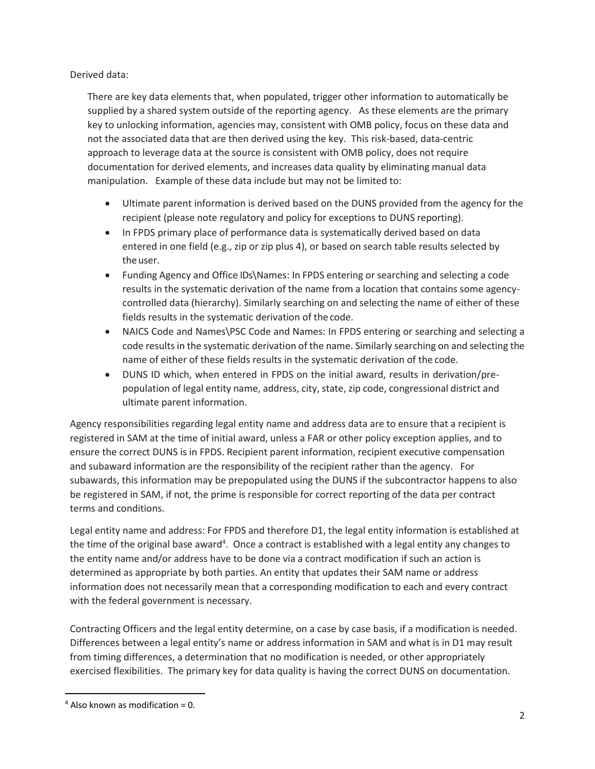Derived data:

There are key data elements that, when populated, trigger other information to automatically be supplied by a shared system outside of the reporting agency. As these elements are the primary key to unlocking information, agencies may, consistent with OMB policy, focus on these data and not the associated data that are then derived using the key. This risk-based, data-centric approach to leverage data at the source is consistent with OMB policy, does not require documentation for derived elements, and increases data quality by eliminating manual data manipulation. Example of these data include but may not be limited to:

- Ultimate parent information is derived based on the DUNS provided from the agency for the recipient (please note regulatory and policy for exceptions to DUNS reporting).
- In FPDS primary place of performance data is systematically derived based on data entered in one field (e.g., zip or zip plus 4), or based on search table results selected by the user.
- Funding Agency and Office IDs\Names: In FPDS entering or searching and selecting a code results in the systematic derivation of the name from a location that contains some agencycontrolled data (hierarchy). Similarly searching on and selecting the name of either of these fields results in the systematic derivation of the code.
- NAICS Code and Names\PSC Code and Names: In FPDS entering or searching and selecting a code results in the systematic derivation of the name. Similarly searching on and selecting the name of either of these fields results in the systematic derivation of the code.
- DUNS ID which, when entered in FPDS on the initial award, results in derivation/prepopulation of legal entity name, address, city, state, zip code, congressional district and ultimate parent information.

Agency responsibilities regarding legal entity name and address data are to ensure that a recipient is registered in SAM at the time of initial award, unless a FAR or other policy exception applies, and to ensure the correct DUNS is in FPDS. Recipient parent information, recipient executive compensation and subaward information are the responsibility of the recipient rather than the agency. For subawards, this information may be prepopulated using the DUNS if the subcontractor happens to also be registered in SAM, if not, the prime is responsible for correct reporting of the data per contract terms and conditions.

Legal entity name and address: For FPDS and therefore D1, the legal entity information is established at the time of the original base award<sup>4</sup>. Once a contract is established with a legal entity any changes to the entity name and/or address have to be done via a contract modification if such an action is determined as appropriate by both parties. An entity that updates their SAM name or address information does not necessarily mean that a corresponding modification to each and every contract with the federal government is necessary.

Contracting Officers and the legal entity determine, on a case by case basis, if a modification is needed. Differences between a legal entity's name or address information in SAM and what is in D1 may result from timing differences, a determination that no modification is needed, or other appropriately exercised flexibilities. The primary key for data quality is having the correct DUNS on documentation.

 $\overline{a}$ 

 $4$  Also known as modification = 0.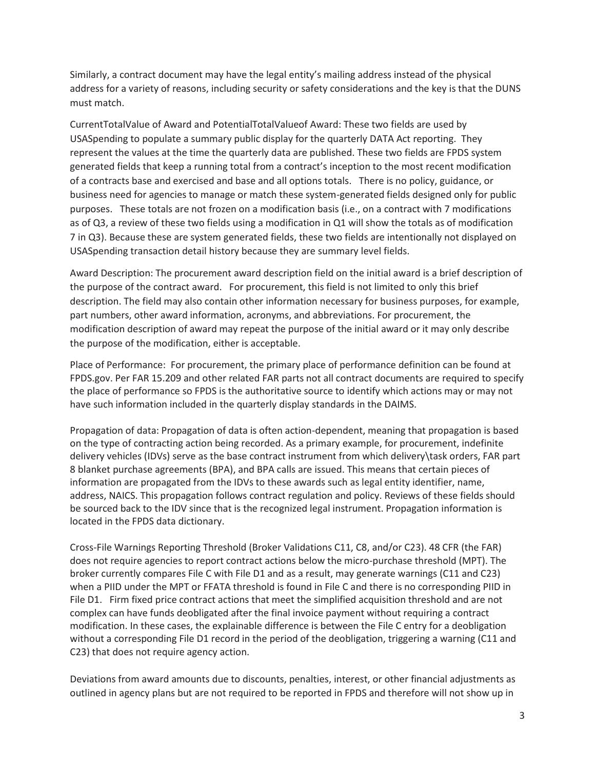Similarly, a contract document may have the legal entity's mailing address instead of the physical address for a variety of reasons, including security or safety considerations and the key is that the DUNS must match.

CurrentTotalValue of Award and PotentialTotalValueof Award: These two fields are used by USASpending to populate a summary public display for the quarterly DATA Act reporting. They represent the values at the time the quarterly data are published. These two fields are FPDS system generated fields that keep a running total from a contract's inception to the most recent modification of a contracts base and exercised and base and all options totals. There is no policy, guidance, or business need for agencies to manage or match these system-generated fields designed only for public purposes. These totals are not frozen on a modification basis (i.e., on a contract with 7 modifications as of Q3, a review of these two fields using a modification in Q1 will show the totals as of modification 7 in Q3). Because these are system generated fields, these two fields are intentionally not displayed on USASpending transaction detail history because they are summary level fields.

Award Description: The procurement award description field on the initial award is a brief description of the purpose of the contract award. For procurement, this field is not limited to only this brief description. The field may also contain other information necessary for business purposes, for example, part numbers, other award information, acronyms, and abbreviations. For procurement, the modification description of award may repeat the purpose of the initial award or it may only describe the purpose of the modification, either is acceptable.

Place of Performance: For procurement, the primary place of performance definition can be found at FPDS.gov. Per FAR 15.209 and other related FAR parts not all contract documents are required to specify the place of performance so FPDS is the authoritative source to identify which actions may or may not have such information included in the quarterly display standards in the DAIMS.

Propagation of data: Propagation of data is often action-dependent, meaning that propagation is based on the type of contracting action being recorded. As a primary example, for procurement, indefinite delivery vehicles (IDVs) serve as the base contract instrument from which delivery\task orders, FAR part 8 blanket purchase agreements (BPA), and BPA calls are issued. This means that certain pieces of information are propagated from the IDVs to these awards such as legal entity identifier, name, address, NAICS. This propagation follows contract regulation and policy. Reviews of these fields should be sourced back to the IDV since that is the recognized legal instrument. Propagation information is located in the FPDS data dictionary.

Cross-File Warnings Reporting Threshold (Broker Validations C11, C8, and/or C23). 48 CFR (the FAR) does not require agencies to report contract actions below the micro-purchase threshold (MPT). The broker currently compares File C with File D1 and as a result, may generate warnings (C11 and C23) when a PIID under the MPT or FFATA threshold is found in File C and there is no corresponding PIID in File D1. Firm fixed price contract actions that meet the simplified acquisition threshold and are not complex can have funds deobligated after the final invoice payment without requiring a contract modification. In these cases, the explainable difference is between the File C entry for a deobligation without a corresponding File D1 record in the period of the deobligation, triggering a warning (C11 and C23) that does not require agency action.

Deviations from award amounts due to discounts, penalties, interest, or other financial adjustments as outlined in agency plans but are not required to be reported in FPDS and therefore will not show up in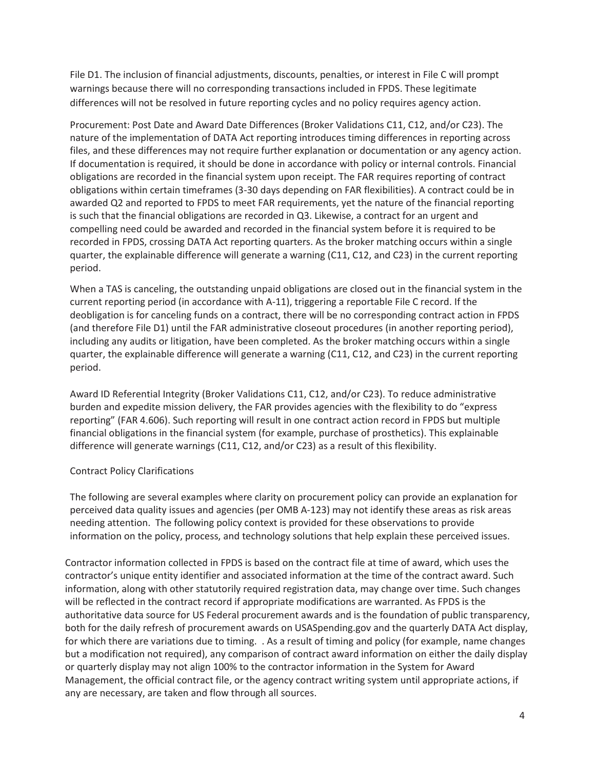File D1. The inclusion of financial adjustments, discounts, penalties, or interest in File C will prompt warnings because there will no corresponding transactions included in FPDS. These legitimate differences will not be resolved in future reporting cycles and no policy requires agency action.

Procurement: Post Date and Award Date Differences (Broker Validations C11, C12, and/or C23). The nature of the implementation of DATA Act reporting introduces timing differences in reporting across files, and these differences may not require further explanation or documentation or any agency action. If documentation is required, it should be done in accordance with policy or internal controls. Financial obligations are recorded in the financial system upon receipt. The FAR requires reporting of contract obligations within certain timeframes (3-30 days depending on FAR flexibilities). A contract could be in awarded Q2 and reported to FPDS to meet FAR requirements, yet the nature of the financial reporting is such that the financial obligations are recorded in Q3. Likewise, a contract for an urgent and compelling need could be awarded and recorded in the financial system before it is required to be recorded in FPDS, crossing DATA Act reporting quarters. As the broker matching occurs within a single quarter, the explainable difference will generate a warning (C11, C12, and C23) in the current reporting period.

When a TAS is canceling, the outstanding unpaid obligations are closed out in the financial system in the current reporting period (in accordance with A-11), triggering a reportable File C record. If the deobligation is for canceling funds on a contract, there will be no corresponding contract action in FPDS (and therefore File D1) until the FAR administrative closeout procedures (in another reporting period), including any audits or litigation, have been completed. As the broker matching occurs within a single quarter, the explainable difference will generate a warning (C11, C12, and C23) in the current reporting period.

Award ID Referential Integrity (Broker Validations C11, C12, and/or C23). To reduce administrative burden and expedite mission delivery, the FAR provides agencies with the flexibility to do "express reporting" (FAR 4.606). Such reporting will result in one contract action record in FPDS but multiple financial obligations in the financial system (for example, purchase of prosthetics). This explainable difference will generate warnings (C11, C12, and/or C23) as a result of this flexibility.

## Contract Policy Clarifications

The following are several examples where clarity on procurement policy can provide an explanation for perceived data quality issues and agencies (per OMB A-123) may not identify these areas as risk areas needing attention. The following policy context is provided for these observations to provide information on the policy, process, and technology solutions that help explain these perceived issues.

Contractor information collected in FPDS is based on the contract file at time of award, which uses the contractor's unique entity identifier and associated information at the time of the contract award. Such information, along with other statutorily required registration data, may change over time. Such changes will be reflected in the contract record if appropriate modifications are warranted. As FPDS is the authoritative data source for US Federal procurement awards and is the foundation of public transparency, both for the daily refresh of procurement awards on USASpending.gov and the quarterly DATA Act display, for which there are variations due to timing. . As a result of timing and policy (for example, name changes but a modification not required), any comparison of contract award information on either the daily display or quarterly display may not align 100% to the contractor information in the System for Award Management, the official contract file, or the agency contract writing system until appropriate actions, if any are necessary, are taken and flow through all sources.